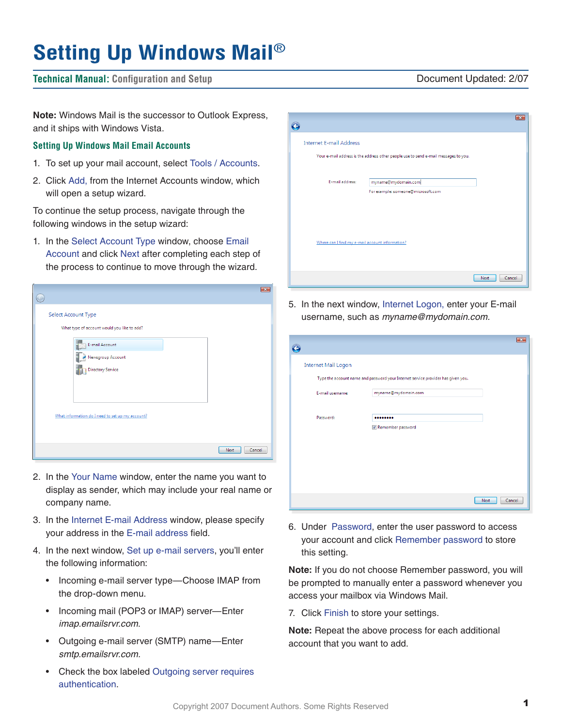# **Setting Up Windows Mail**®

# **Technical Manual: Configuration and Setup** Document Updated: 2/07

**Note:** Windows Mail is the successor to Outlook Express, and it ships with Windows Vista.

### **Setting Up Windows Mail Email Accounts**

- 1. To set up your mail account, select Tools / Accounts.
- 2. Click Add, from the Internet Accounts window, which will open a setup wizard.

To continue the setup process, navigate through the following windows in the setup wizard:

1. In the Select Account Type window, choose Email Account and click Next after completing each step of the process to continue to move through the wizard.

|                                                                    | $\overline{\mathbf{x}}$ |
|--------------------------------------------------------------------|-------------------------|
| Select Account Type<br>What type of account would you like to add? |                         |
| E-mail Account<br>Newsgroup Account<br>Directory Service           |                         |
| What information do I need to set up my account?                   |                         |
|                                                                    | Cancel<br>Next          |

- 2. In the Your Name window, enter the name you want to display as sender, which may include your real name or company name.
- 3. In the Internet E-mail Address window, please specify your address in the E-mail address field.
- 4. In the next window, Set up e-mail servers, you'll enter the following information:
	- Incoming e-mail server type—Choose IMAP from the drop-down menu.
	- Incoming mail (POP3 or IMAP) server—Enter *imap.emailsrvr.com*.
	- Outgoing e-mail server (SMTP) name—Enter *smtp.emailsrvr.com.*
	- Check the box labeled Outgoing server requires authentication.

|                                                 |                                                                                     |                       | $-23$ |
|-------------------------------------------------|-------------------------------------------------------------------------------------|-----------------------|-------|
| <b>Internet E-mail Address</b>                  |                                                                                     |                       |       |
|                                                 | Your e-mail address is the address other people use to send e-mail messages to you. |                       |       |
| E-mail address:                                 | myname@mydomain.com                                                                 |                       |       |
|                                                 | For example: someone@microsoft.com                                                  |                       |       |
|                                                 |                                                                                     |                       |       |
|                                                 |                                                                                     |                       |       |
| Where can I find my e-mail account information? |                                                                                     |                       |       |
|                                                 |                                                                                     |                       |       |
|                                                 |                                                                                     | Cancel<br><b>Next</b> |       |

5. In the next window, Internet Logon, enter your E-mail username, such as *myname@mydomain.com.*

| <b>Internet Mail Logon</b> |                                                                                  |                |
|----------------------------|----------------------------------------------------------------------------------|----------------|
|                            | Type the account name and password your Internet service provider has given you. |                |
| E-mail username:           | myname@mydomain.com                                                              |                |
| Password:                  |                                                                                  |                |
|                            | Remember password                                                                |                |
|                            |                                                                                  |                |
|                            |                                                                                  |                |
|                            |                                                                                  |                |
|                            |                                                                                  |                |
|                            |                                                                                  | Next<br>Cancel |

6. Under Password, enter the user password to access your account and click Remember password to store this setting.

**Note:** If you do not choose Remember password, you will be prompted to manually enter a password whenever you access your mailbox via Windows Mail.

7. Click Finish to store your settings.

**Note:** Repeat the above process for each additional account that you want to add.